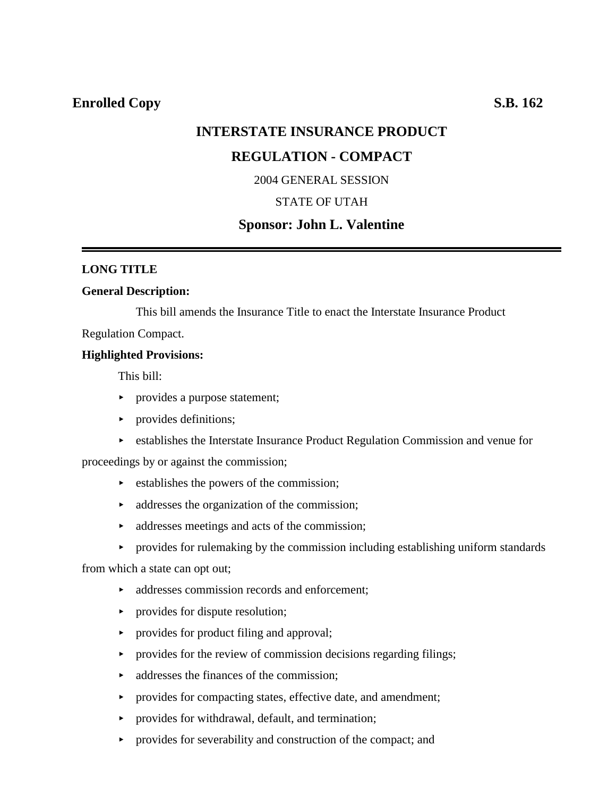# **INTERSTATE INSURANCE PRODUCT**

# **REGULATION - COMPACT**

2004 GENERAL SESSION

# STATE OF UTAH

# **Sponsor: John L. Valentine**

### **LONG TITLE**

#### **General Description:**

This bill amends the Insurance Title to enact the Interstate Insurance Product

Regulation Compact.

### **Highlighted Provisions:**

This bill:

- provides a purpose statement;
- provides definitions;
- **Example 3 Fe** establishes the Interstate Insurance Product Regulation Commission and venue for

proceedings by or against the commission;

- $\triangleright$  establishes the powers of the commission;
- $\rightarrow$  addresses the organization of the commission;
- $\rightarrow$  addresses meetings and acts of the commission;
- $\rightarrow$  provides for rulemaking by the commission including establishing uniform standards

from which a state can opt out;

- $\rightarrow$  addresses commission records and enforcement:
- $\rightarrow$  provides for dispute resolution;
- provides for product filing and approval;
- $\triangleright$  provides for the review of commission decisions regarding filings;
- $\blacktriangleright$  addresses the finances of the commission:
- < provides for compacting states, effective date, and amendment;
- **PED FIGURER** provides for withdrawal, default, and termination;
- $\rightarrow$  provides for severability and construction of the compact; and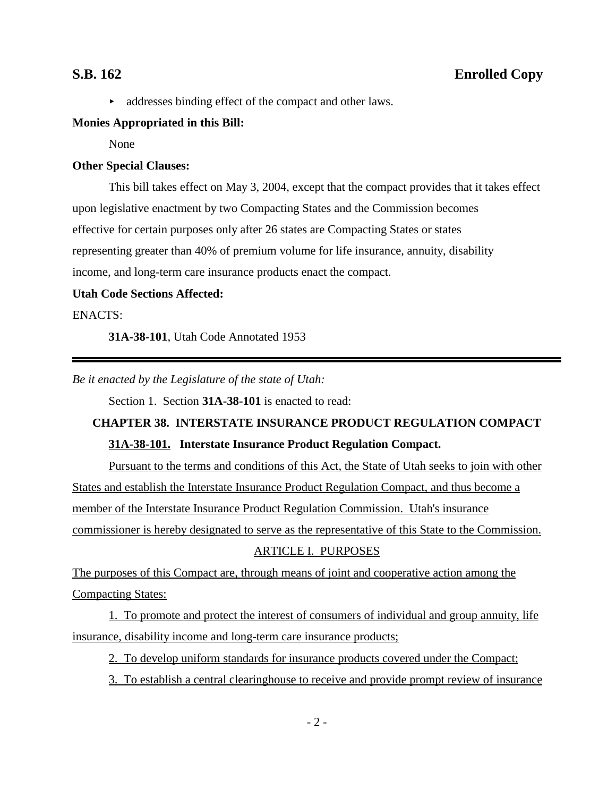$\blacktriangleright$  addresses binding effect of the compact and other laws.

### **Monies Appropriated in this Bill:**

None

## **Other Special Clauses:**

This bill takes effect on May 3, 2004, except that the compact provides that it takes effect upon legislative enactment by two Compacting States and the Commission becomes effective for certain purposes only after 26 states are Compacting States or states representing greater than 40% of premium volume for life insurance, annuity, disability income, and long-term care insurance products enact the compact.

### **Utah Code Sections Affected:**

### ENACTS:

**31A-38-101**, Utah Code Annotated 1953

*Be it enacted by the Legislature of the state of Utah:*

Section 1. Section **31A-38-101** is enacted to read:

# **CHAPTER 38. INTERSTATE INSURANCE PRODUCT REGULATION COMPACT 31A-38-101. Interstate Insurance Product Regulation Compact.**

Pursuant to the terms and conditions of this Act, the State of Utah seeks to join with other States and establish the Interstate Insurance Product Regulation Compact, and thus become a member of the Interstate Insurance Product Regulation Commission. Utah's insurance commissioner is hereby designated to serve as the representative of this State to the Commission.

### ARTICLE I. PURPOSES

The purposes of this Compact are, through means of joint and cooperative action among the Compacting States:

1. To promote and protect the interest of consumers of individual and group annuity, life insurance, disability income and long-term care insurance products;

- 2. To develop uniform standards for insurance products covered under the Compact;
- 3. To establish a central clearinghouse to receive and provide prompt review of insurance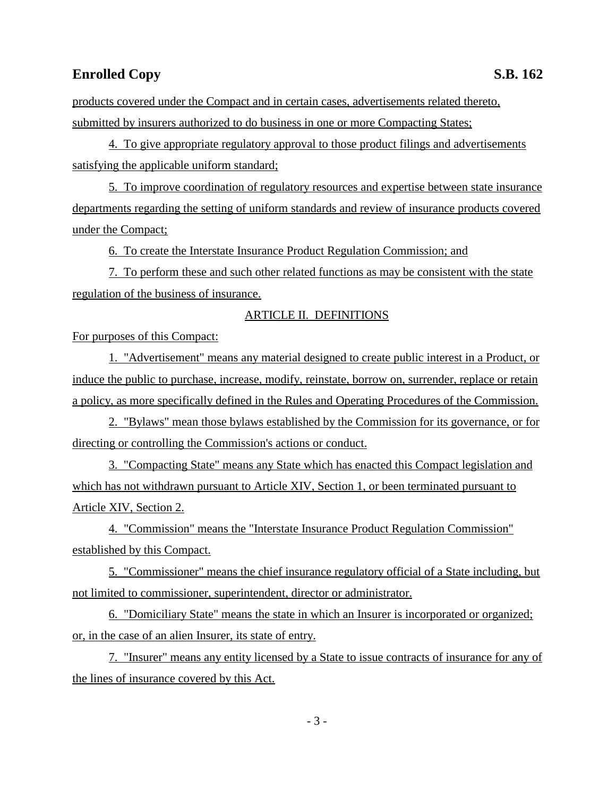products covered under the Compact and in certain cases, advertisements related thereto, submitted by insurers authorized to do business in one or more Compacting States;

4. To give appropriate regulatory approval to those product filings and advertisements satisfying the applicable uniform standard;

5. To improve coordination of regulatory resources and expertise between state insurance departments regarding the setting of uniform standards and review of insurance products covered under the Compact;

6. To create the Interstate Insurance Product Regulation Commission; and

7. To perform these and such other related functions as may be consistent with the state regulation of the business of insurance.

### ARTICLE II. DEFINITIONS

For purposes of this Compact:

1. "Advertisement" means any material designed to create public interest in a Product, or induce the public to purchase, increase, modify, reinstate, borrow on, surrender, replace or retain a policy, as more specifically defined in the Rules and Operating Procedures of the Commission.

2. "Bylaws" mean those bylaws established by the Commission for its governance, or for directing or controlling the Commission's actions or conduct.

3. "Compacting State" means any State which has enacted this Compact legislation and which has not withdrawn pursuant to Article XIV, Section 1, or been terminated pursuant to Article XIV, Section 2.

4. "Commission" means the "Interstate Insurance Product Regulation Commission" established by this Compact.

5. "Commissioner" means the chief insurance regulatory official of a State including, but not limited to commissioner, superintendent, director or administrator.

6. "Domiciliary State" means the state in which an Insurer is incorporated or organized; or, in the case of an alien Insurer, its state of entry.

7. "Insurer" means any entity licensed by a State to issue contracts of insurance for any of the lines of insurance covered by this Act.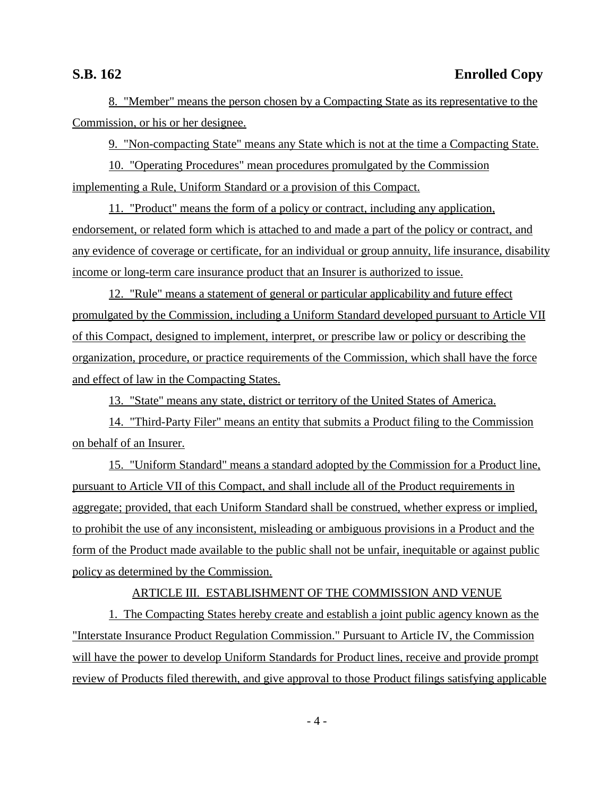8. "Member" means the person chosen by a Compacting State as its representative to the Commission, or his or her designee.

9. "Non-compacting State" means any State which is not at the time a Compacting State.

10. "Operating Procedures" mean procedures promulgated by the Commission implementing a Rule, Uniform Standard or a provision of this Compact.

11. "Product" means the form of a policy or contract, including any application, endorsement, or related form which is attached to and made a part of the policy or contract, and any evidence of coverage or certificate, for an individual or group annuity, life insurance, disability income or long-term care insurance product that an Insurer is authorized to issue.

12. "Rule" means a statement of general or particular applicability and future effect promulgated by the Commission, including a Uniform Standard developed pursuant to Article VII of this Compact, designed to implement, interpret, or prescribe law or policy or describing the organization, procedure, or practice requirements of the Commission, which shall have the force and effect of law in the Compacting States.

13. "State" means any state, district or territory of the United States of America.

14. "Third-Party Filer" means an entity that submits a Product filing to the Commission on behalf of an Insurer.

15. "Uniform Standard" means a standard adopted by the Commission for a Product line, pursuant to Article VII of this Compact, and shall include all of the Product requirements in aggregate; provided, that each Uniform Standard shall be construed, whether express or implied, to prohibit the use of any inconsistent, misleading or ambiguous provisions in a Product and the form of the Product made available to the public shall not be unfair, inequitable or against public policy as determined by the Commission.

### ARTICLE III. ESTABLISHMENT OF THE COMMISSION AND VENUE

1. The Compacting States hereby create and establish a joint public agency known as the "Interstate Insurance Product Regulation Commission." Pursuant to Article IV, the Commission will have the power to develop Uniform Standards for Product lines, receive and provide prompt review of Products filed therewith, and give approval to those Product filings satisfying applicable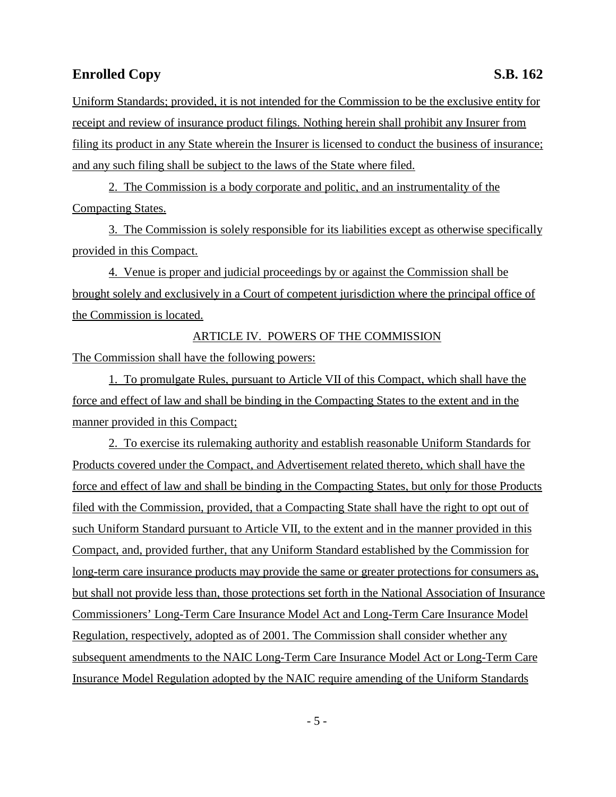Uniform Standards; provided, it is not intended for the Commission to be the exclusive entity for receipt and review of insurance product filings. Nothing herein shall prohibit any Insurer from filing its product in any State wherein the Insurer is licensed to conduct the business of insurance; and any such filing shall be subject to the laws of the State where filed.

2. The Commission is a body corporate and politic, and an instrumentality of the Compacting States.

3. The Commission is solely responsible for its liabilities except as otherwise specifically provided in this Compact.

4. Venue is proper and judicial proceedings by or against the Commission shall be brought solely and exclusively in a Court of competent jurisdiction where the principal office of the Commission is located.

ARTICLE IV. POWERS OF THE COMMISSION

The Commission shall have the following powers:

1. To promulgate Rules, pursuant to Article VII of this Compact, which shall have the force and effect of law and shall be binding in the Compacting States to the extent and in the manner provided in this Compact;

2. To exercise its rulemaking authority and establish reasonable Uniform Standards for Products covered under the Compact, and Advertisement related thereto, which shall have the force and effect of law and shall be binding in the Compacting States, but only for those Products filed with the Commission, provided, that a Compacting State shall have the right to opt out of such Uniform Standard pursuant to Article VII, to the extent and in the manner provided in this Compact, and, provided further, that any Uniform Standard established by the Commission for long-term care insurance products may provide the same or greater protections for consumers as, but shall not provide less than, those protections set forth in the National Association of Insurance Commissioners' Long-Term Care Insurance Model Act and Long-Term Care Insurance Model Regulation, respectively, adopted as of 2001. The Commission shall consider whether any subsequent amendments to the NAIC Long-Term Care Insurance Model Act or Long-Term Care Insurance Model Regulation adopted by the NAIC require amending of the Uniform Standards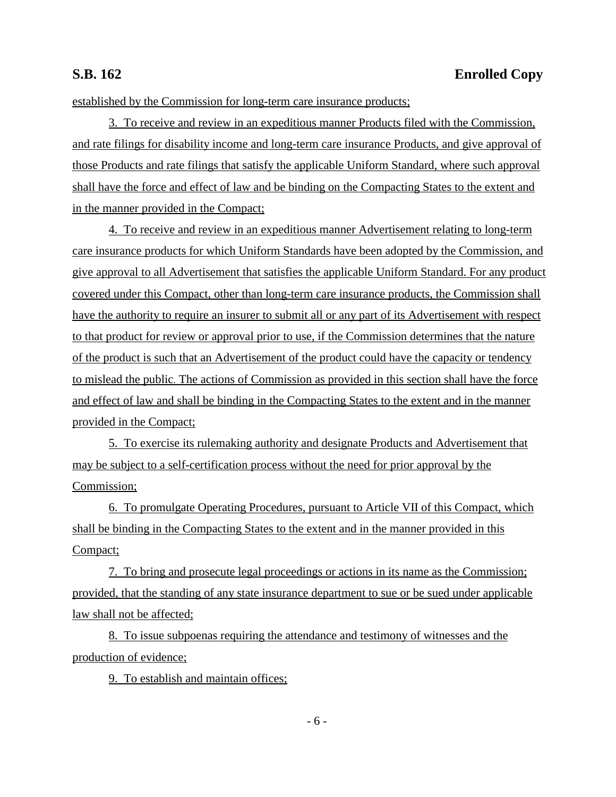established by the Commission for long-term care insurance products;

3. To receive and review in an expeditious manner Products filed with the Commission, and rate filings for disability income and long-term care insurance Products, and give approval of those Products and rate filings that satisfy the applicable Uniform Standard, where such approval shall have the force and effect of law and be binding on the Compacting States to the extent and in the manner provided in the Compact;

4. To receive and review in an expeditious manner Advertisement relating to long-term care insurance products for which Uniform Standards have been adopted by the Commission, and give approval to all Advertisement that satisfies the applicable Uniform Standard. For any product covered under this Compact, other than long-term care insurance products, the Commission shall have the authority to require an insurer to submit all or any part of its Advertisement with respect to that product for review or approval prior to use, if the Commission determines that the nature of the product is such that an Advertisement of the product could have the capacity or tendency to mislead the public. The actions of Commission as provided in this section shall have the force and effect of law and shall be binding in the Compacting States to the extent and in the manner provided in the Compact;

5. To exercise its rulemaking authority and designate Products and Advertisement that may be subject to a self-certification process without the need for prior approval by the Commission;

6. To promulgate Operating Procedures, pursuant to Article VII of this Compact, which shall be binding in the Compacting States to the extent and in the manner provided in this Compact;

7. To bring and prosecute legal proceedings or actions in its name as the Commission; provided, that the standing of any state insurance department to sue or be sued under applicable law shall not be affected;

8. To issue subpoenas requiring the attendance and testimony of witnesses and the production of evidence;

9. To establish and maintain offices;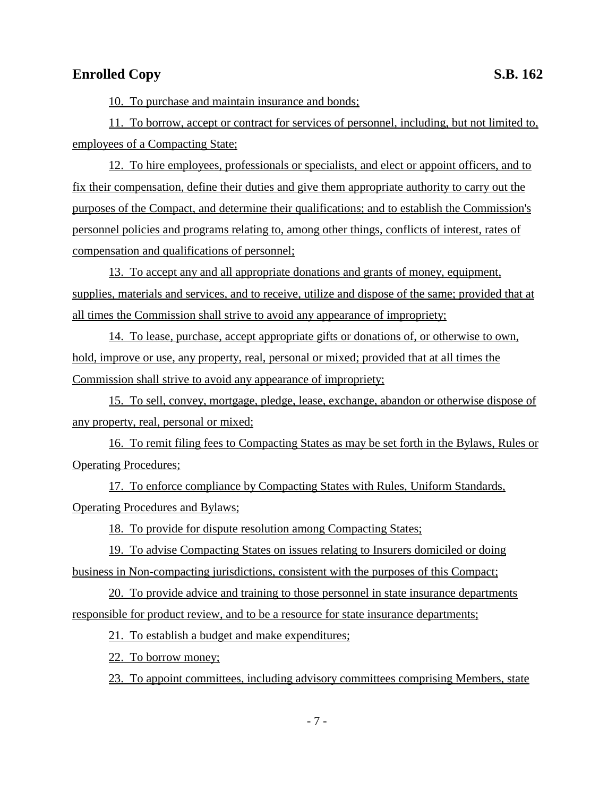10. To purchase and maintain insurance and bonds;

11. To borrow, accept or contract for services of personnel, including, but not limited to, employees of a Compacting State;

12. To hire employees, professionals or specialists, and elect or appoint officers, and to fix their compensation, define their duties and give them appropriate authority to carry out the purposes of the Compact, and determine their qualifications; and to establish the Commission's personnel policies and programs relating to, among other things, conflicts of interest, rates of compensation and qualifications of personnel;

13. To accept any and all appropriate donations and grants of money, equipment, supplies, materials and services, and to receive, utilize and dispose of the same; provided that at all times the Commission shall strive to avoid any appearance of impropriety;

14. To lease, purchase, accept appropriate gifts or donations of, or otherwise to own, hold, improve or use, any property, real, personal or mixed; provided that at all times the Commission shall strive to avoid any appearance of impropriety;

15. To sell, convey, mortgage, pledge, lease, exchange, abandon or otherwise dispose of any property, real, personal or mixed;

16. To remit filing fees to Compacting States as may be set forth in the Bylaws, Rules or Operating Procedures;

17. To enforce compliance by Compacting States with Rules, Uniform Standards, Operating Procedures and Bylaws;

18. To provide for dispute resolution among Compacting States;

19. To advise Compacting States on issues relating to Insurers domiciled or doing business in Non-compacting jurisdictions, consistent with the purposes of this Compact;

20. To provide advice and training to those personnel in state insurance departments responsible for product review, and to be a resource for state insurance departments;

21. To establish a budget and make expenditures;

22. To borrow money;

23. To appoint committees, including advisory committees comprising Members, state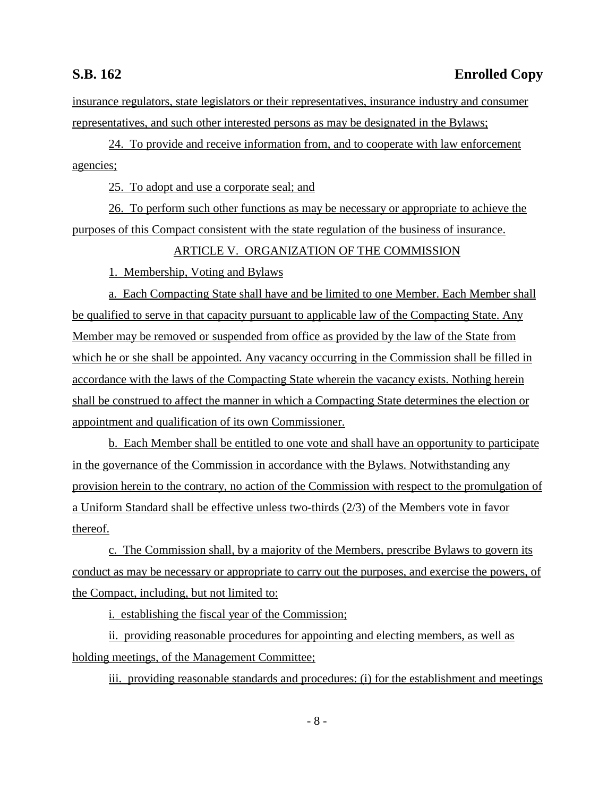insurance regulators, state legislators or their representatives, insurance industry and consumer representatives, and such other interested persons as may be designated in the Bylaws;

24. To provide and receive information from, and to cooperate with law enforcement agencies;

25. To adopt and use a corporate seal; and

26. To perform such other functions as may be necessary or appropriate to achieve the purposes of this Compact consistent with the state regulation of the business of insurance.

### ARTICLE V. ORGANIZATION OF THE COMMISSION

1. Membership, Voting and Bylaws

a. Each Compacting State shall have and be limited to one Member. Each Member shall be qualified to serve in that capacity pursuant to applicable law of the Compacting State. Any Member may be removed or suspended from office as provided by the law of the State from which he or she shall be appointed. Any vacancy occurring in the Commission shall be filled in accordance with the laws of the Compacting State wherein the vacancy exists. Nothing herein shall be construed to affect the manner in which a Compacting State determines the election or appointment and qualification of its own Commissioner.

b. Each Member shall be entitled to one vote and shall have an opportunity to participate in the governance of the Commission in accordance with the Bylaws. Notwithstanding any provision herein to the contrary, no action of the Commission with respect to the promulgation of a Uniform Standard shall be effective unless two-thirds (2/3) of the Members vote in favor thereof.

c. The Commission shall, by a majority of the Members, prescribe Bylaws to govern its conduct as may be necessary or appropriate to carry out the purposes, and exercise the powers, of the Compact, including, but not limited to:

i. establishing the fiscal year of the Commission;

ii. providing reasonable procedures for appointing and electing members, as well as holding meetings, of the Management Committee;

iii. providing reasonable standards and procedures: (i) for the establishment and meetings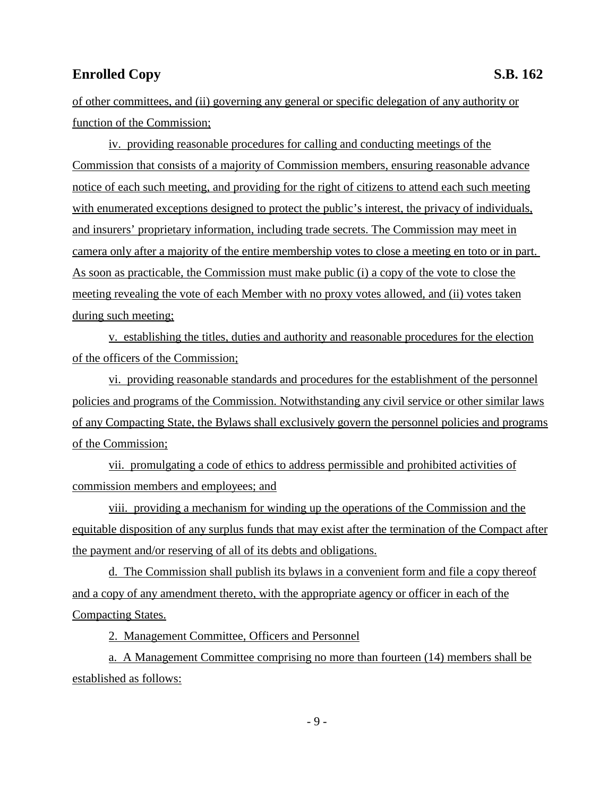of other committees, and (ii) governing any general or specific delegation of any authority or function of the Commission;

iv. providing reasonable procedures for calling and conducting meetings of the Commission that consists of a majority of Commission members, ensuring reasonable advance notice of each such meeting, and providing for the right of citizens to attend each such meeting with enumerated exceptions designed to protect the public's interest, the privacy of individuals, and insurers' proprietary information, including trade secrets. The Commission may meet in camera only after a majority of the entire membership votes to close a meeting en toto or in part. As soon as practicable, the Commission must make public (i) a copy of the vote to close the meeting revealing the vote of each Member with no proxy votes allowed, and (ii) votes taken during such meeting;

v. establishing the titles, duties and authority and reasonable procedures for the election of the officers of the Commission;

vi. providing reasonable standards and procedures for the establishment of the personnel policies and programs of the Commission. Notwithstanding any civil service or other similar laws of any Compacting State, the Bylaws shall exclusively govern the personnel policies and programs of the Commission;

vii. promulgating a code of ethics to address permissible and prohibited activities of commission members and employees; and

viii. providing a mechanism for winding up the operations of the Commission and the equitable disposition of any surplus funds that may exist after the termination of the Compact after the payment and/or reserving of all of its debts and obligations.

d. The Commission shall publish its bylaws in a convenient form and file a copy thereof and a copy of any amendment thereto, with the appropriate agency or officer in each of the Compacting States.

2. Management Committee, Officers and Personnel

a. A Management Committee comprising no more than fourteen (14) members shall be established as follows: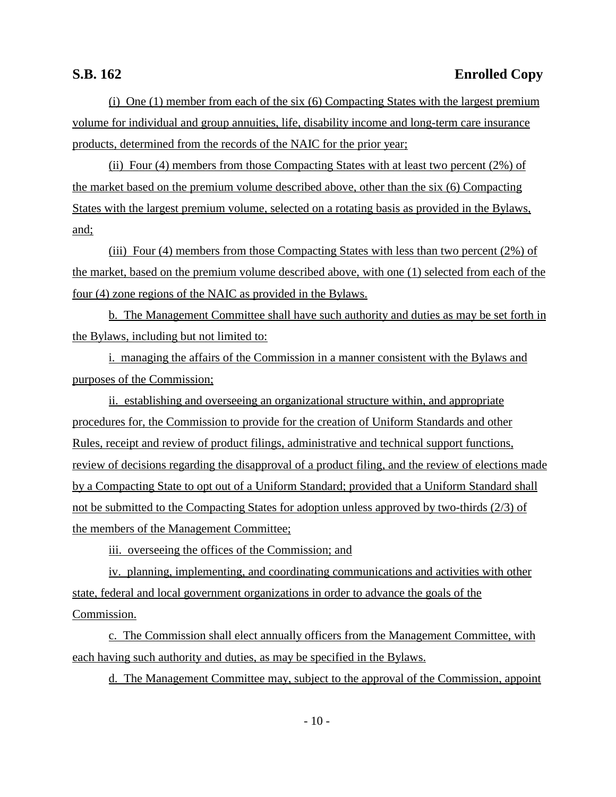(i) One (1) member from each of the six (6) Compacting States with the largest premium volume for individual and group annuities, life, disability income and long-term care insurance products, determined from the records of the NAIC for the prior year;

(ii) Four (4) members from those Compacting States with at least two percent (2%) of the market based on the premium volume described above, other than the six (6) Compacting States with the largest premium volume, selected on a rotating basis as provided in the Bylaws, and;

(iii) Four (4) members from those Compacting States with less than two percent (2%) of the market, based on the premium volume described above, with one (1) selected from each of the four (4) zone regions of the NAIC as provided in the Bylaws.

b. The Management Committee shall have such authority and duties as may be set forth in the Bylaws, including but not limited to:

i. managing the affairs of the Commission in a manner consistent with the Bylaws and purposes of the Commission;

ii. establishing and overseeing an organizational structure within, and appropriate procedures for, the Commission to provide for the creation of Uniform Standards and other Rules, receipt and review of product filings, administrative and technical support functions, review of decisions regarding the disapproval of a product filing, and the review of elections made by a Compacting State to opt out of a Uniform Standard; provided that a Uniform Standard shall not be submitted to the Compacting States for adoption unless approved by two-thirds (2/3) of the members of the Management Committee;

iii. overseeing the offices of the Commission; and

iv. planning, implementing, and coordinating communications and activities with other state, federal and local government organizations in order to advance the goals of the Commission.

c. The Commission shall elect annually officers from the Management Committee, with each having such authority and duties, as may be specified in the Bylaws.

d. The Management Committee may, subject to the approval of the Commission, appoint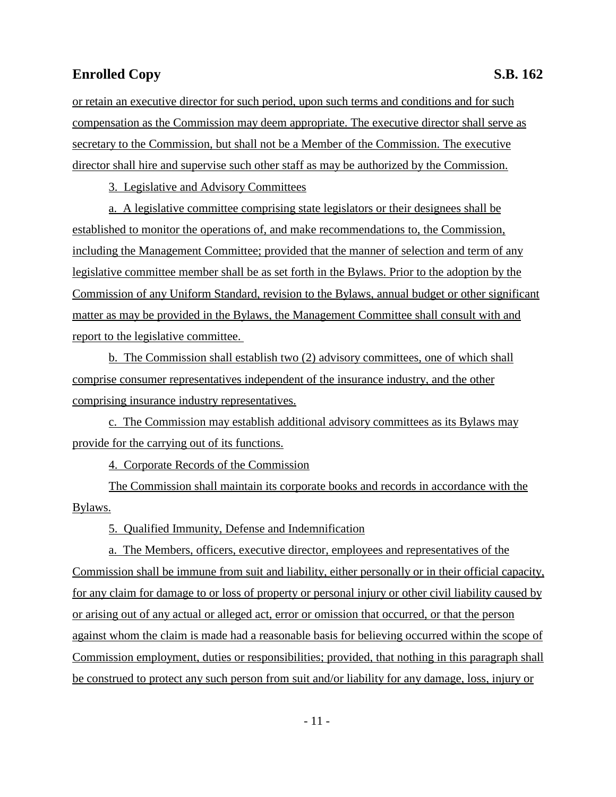or retain an executive director for such period, upon such terms and conditions and for such compensation as the Commission may deem appropriate. The executive director shall serve as secretary to the Commission, but shall not be a Member of the Commission. The executive director shall hire and supervise such other staff as may be authorized by the Commission.

3. Legislative and Advisory Committees

a. A legislative committee comprising state legislators or their designees shall be established to monitor the operations of, and make recommendations to, the Commission, including the Management Committee; provided that the manner of selection and term of any legislative committee member shall be as set forth in the Bylaws. Prior to the adoption by the Commission of any Uniform Standard, revision to the Bylaws, annual budget or other significant matter as may be provided in the Bylaws, the Management Committee shall consult with and report to the legislative committee.

b. The Commission shall establish two (2) advisory committees, one of which shall comprise consumer representatives independent of the insurance industry, and the other comprising insurance industry representatives.

c. The Commission may establish additional advisory committees as its Bylaws may provide for the carrying out of its functions.

4. Corporate Records of the Commission

The Commission shall maintain its corporate books and records in accordance with the Bylaws.

5. Qualified Immunity, Defense and Indemnification

a. The Members, officers, executive director, employees and representatives of the Commission shall be immune from suit and liability, either personally or in their official capacity, for any claim for damage to or loss of property or personal injury or other civil liability caused by or arising out of any actual or alleged act, error or omission that occurred, or that the person against whom the claim is made had a reasonable basis for believing occurred within the scope of Commission employment, duties or responsibilities; provided, that nothing in this paragraph shall be construed to protect any such person from suit and/or liability for any damage, loss, injury or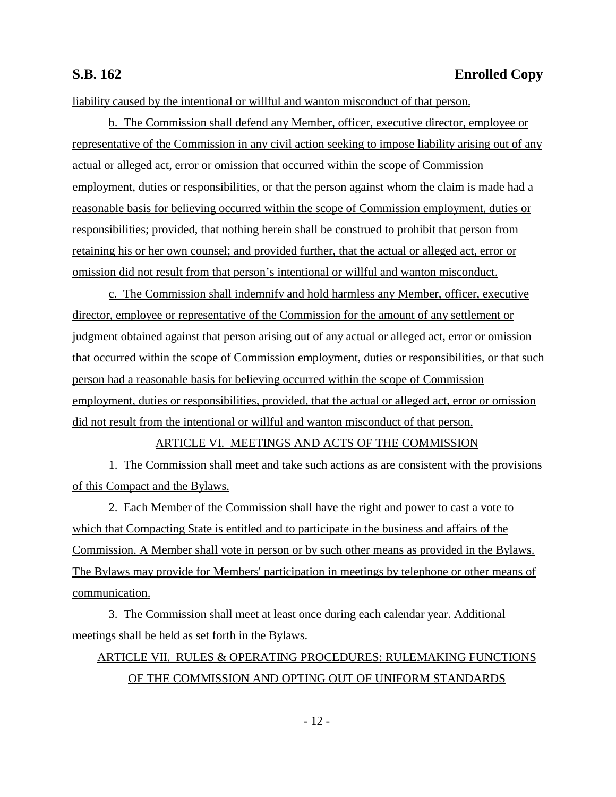liability caused by the intentional or willful and wanton misconduct of that person.

b. The Commission shall defend any Member, officer, executive director, employee or representative of the Commission in any civil action seeking to impose liability arising out of any actual or alleged act, error or omission that occurred within the scope of Commission employment, duties or responsibilities, or that the person against whom the claim is made had a reasonable basis for believing occurred within the scope of Commission employment, duties or responsibilities; provided, that nothing herein shall be construed to prohibit that person from retaining his or her own counsel; and provided further, that the actual or alleged act, error or omission did not result from that person's intentional or willful and wanton misconduct.

c. The Commission shall indemnify and hold harmless any Member, officer, executive director, employee or representative of the Commission for the amount of any settlement or judgment obtained against that person arising out of any actual or alleged act, error or omission that occurred within the scope of Commission employment, duties or responsibilities, or that such person had a reasonable basis for believing occurred within the scope of Commission employment, duties or responsibilities, provided, that the actual or alleged act, error or omission did not result from the intentional or willful and wanton misconduct of that person.

### ARTICLE VI. MEETINGS AND ACTS OF THE COMMISSION

1. The Commission shall meet and take such actions as are consistent with the provisions of this Compact and the Bylaws.

2. Each Member of the Commission shall have the right and power to cast a vote to which that Compacting State is entitled and to participate in the business and affairs of the Commission. A Member shall vote in person or by such other means as provided in the Bylaws. The Bylaws may provide for Members' participation in meetings by telephone or other means of communication.

3. The Commission shall meet at least once during each calendar year. Additional meetings shall be held as set forth in the Bylaws.

# ARTICLE VII. RULES & OPERATING PROCEDURES: RULEMAKING FUNCTIONS OF THE COMMISSION AND OPTING OUT OF UNIFORM STANDARDS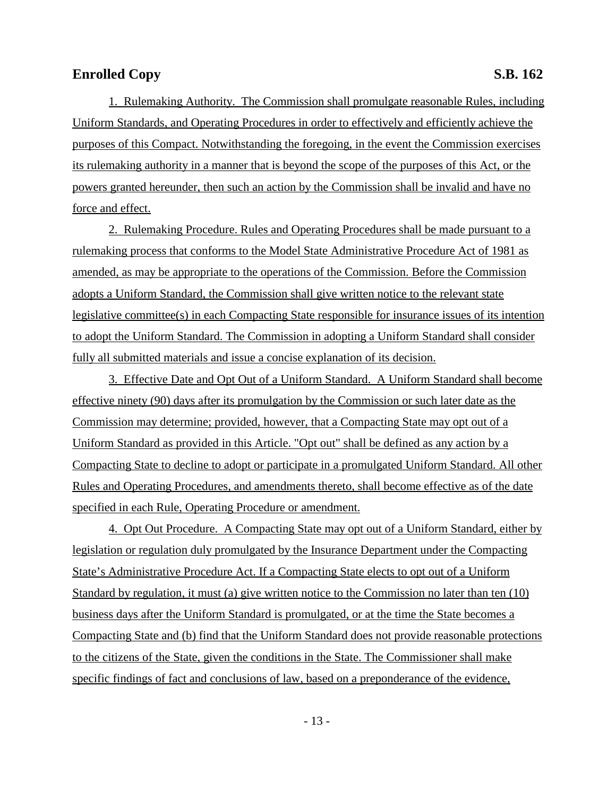1. Rulemaking Authority. The Commission shall promulgate reasonable Rules, including Uniform Standards, and Operating Procedures in order to effectively and efficiently achieve the purposes of this Compact. Notwithstanding the foregoing, in the event the Commission exercises its rulemaking authority in a manner that is beyond the scope of the purposes of this Act, or the powers granted hereunder, then such an action by the Commission shall be invalid and have no force and effect.

2. Rulemaking Procedure. Rules and Operating Procedures shall be made pursuant to a rulemaking process that conforms to the Model State Administrative Procedure Act of 1981 as amended, as may be appropriate to the operations of the Commission. Before the Commission adopts a Uniform Standard, the Commission shall give written notice to the relevant state legislative committee(s) in each Compacting State responsible for insurance issues of its intention to adopt the Uniform Standard. The Commission in adopting a Uniform Standard shall consider fully all submitted materials and issue a concise explanation of its decision.

3. Effective Date and Opt Out of a Uniform Standard. A Uniform Standard shall become effective ninety (90) days after its promulgation by the Commission or such later date as the Commission may determine; provided, however, that a Compacting State may opt out of a Uniform Standard as provided in this Article. "Opt out" shall be defined as any action by a Compacting State to decline to adopt or participate in a promulgated Uniform Standard. All other Rules and Operating Procedures, and amendments thereto, shall become effective as of the date specified in each Rule, Operating Procedure or amendment.

4. Opt Out Procedure. A Compacting State may opt out of a Uniform Standard, either by legislation or regulation duly promulgated by the Insurance Department under the Compacting State's Administrative Procedure Act. If a Compacting State elects to opt out of a Uniform Standard by regulation, it must (a) give written notice to the Commission no later than ten (10) business days after the Uniform Standard is promulgated, or at the time the State becomes a Compacting State and (b) find that the Uniform Standard does not provide reasonable protections to the citizens of the State, given the conditions in the State. The Commissioner shall make specific findings of fact and conclusions of law, based on a preponderance of the evidence,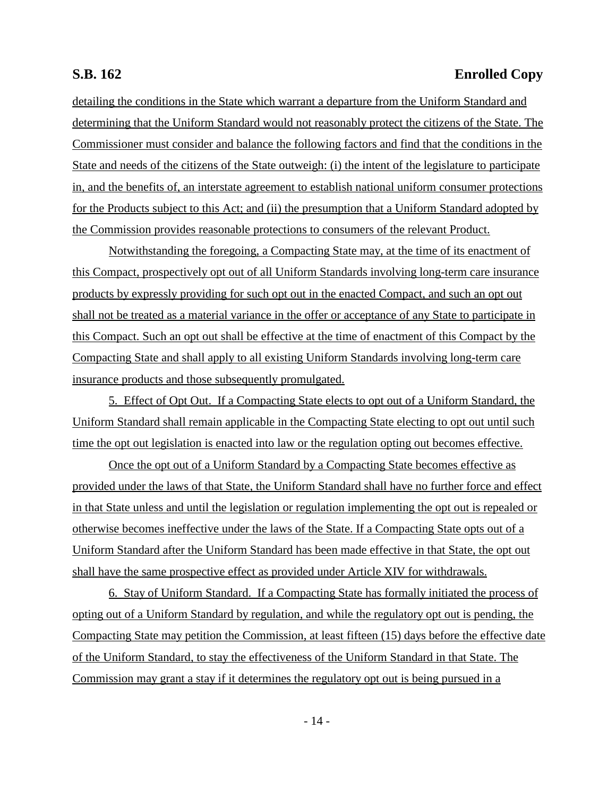# **S.B. 162 Enrolled Copy**

detailing the conditions in the State which warrant a departure from the Uniform Standard and determining that the Uniform Standard would not reasonably protect the citizens of the State. The Commissioner must consider and balance the following factors and find that the conditions in the State and needs of the citizens of the State outweigh: (i) the intent of the legislature to participate in, and the benefits of, an interstate agreement to establish national uniform consumer protections for the Products subject to this Act; and (ii) the presumption that a Uniform Standard adopted by the Commission provides reasonable protections to consumers of the relevant Product.

Notwithstanding the foregoing, a Compacting State may, at the time of its enactment of this Compact, prospectively opt out of all Uniform Standards involving long-term care insurance products by expressly providing for such opt out in the enacted Compact, and such an opt out shall not be treated as a material variance in the offer or acceptance of any State to participate in this Compact. Such an opt out shall be effective at the time of enactment of this Compact by the Compacting State and shall apply to all existing Uniform Standards involving long-term care insurance products and those subsequently promulgated.

5. Effect of Opt Out. If a Compacting State elects to opt out of a Uniform Standard, the Uniform Standard shall remain applicable in the Compacting State electing to opt out until such time the opt out legislation is enacted into law or the regulation opting out becomes effective.

Once the opt out of a Uniform Standard by a Compacting State becomes effective as provided under the laws of that State, the Uniform Standard shall have no further force and effect in that State unless and until the legislation or regulation implementing the opt out is repealed or otherwise becomes ineffective under the laws of the State. If a Compacting State opts out of a Uniform Standard after the Uniform Standard has been made effective in that State, the opt out shall have the same prospective effect as provided under Article XIV for withdrawals.

6. Stay of Uniform Standard. If a Compacting State has formally initiated the process of opting out of a Uniform Standard by regulation, and while the regulatory opt out is pending, the Compacting State may petition the Commission, at least fifteen (15) days before the effective date of the Uniform Standard, to stay the effectiveness of the Uniform Standard in that State. The Commission may grant a stay if it determines the regulatory opt out is being pursued in a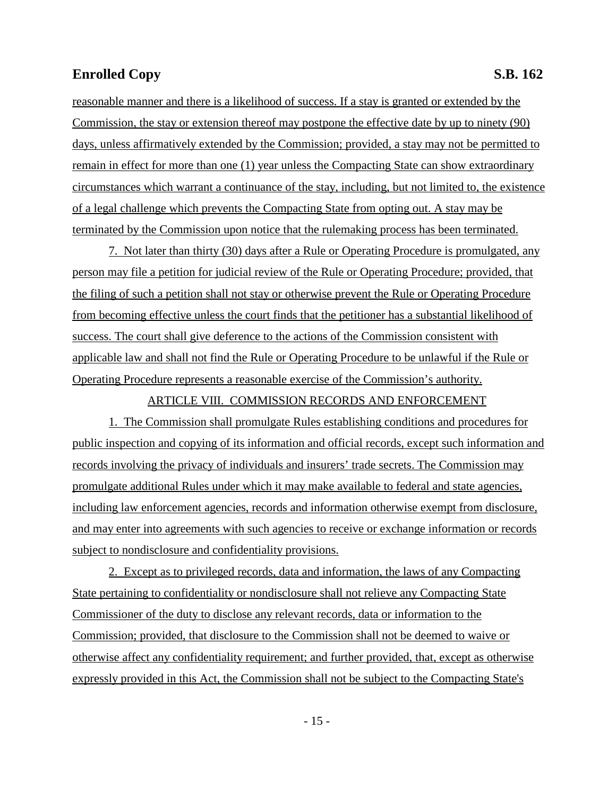reasonable manner and there is a likelihood of success. If a stay is granted or extended by the Commission, the stay or extension thereof may postpone the effective date by up to ninety (90) days, unless affirmatively extended by the Commission; provided, a stay may not be permitted to remain in effect for more than one (1) year unless the Compacting State can show extraordinary circumstances which warrant a continuance of the stay, including, but not limited to, the existence of a legal challenge which prevents the Compacting State from opting out. A stay may be terminated by the Commission upon notice that the rulemaking process has been terminated.

7. Not later than thirty (30) days after a Rule or Operating Procedure is promulgated, any person may file a petition for judicial review of the Rule or Operating Procedure; provided, that the filing of such a petition shall not stay or otherwise prevent the Rule or Operating Procedure from becoming effective unless the court finds that the petitioner has a substantial likelihood of success. The court shall give deference to the actions of the Commission consistent with applicable law and shall not find the Rule or Operating Procedure to be unlawful if the Rule or Operating Procedure represents a reasonable exercise of the Commission's authority.

ARTICLE VIII. COMMISSION RECORDS AND ENFORCEMENT

1. The Commission shall promulgate Rules establishing conditions and procedures for public inspection and copying of its information and official records, except such information and records involving the privacy of individuals and insurers' trade secrets. The Commission may promulgate additional Rules under which it may make available to federal and state agencies, including law enforcement agencies, records and information otherwise exempt from disclosure, and may enter into agreements with such agencies to receive or exchange information or records subject to nondisclosure and confidentiality provisions.

2. Except as to privileged records, data and information, the laws of any Compacting State pertaining to confidentiality or nondisclosure shall not relieve any Compacting State Commissioner of the duty to disclose any relevant records, data or information to the Commission; provided, that disclosure to the Commission shall not be deemed to waive or otherwise affect any confidentiality requirement; and further provided, that, except as otherwise expressly provided in this Act, the Commission shall not be subject to the Compacting State's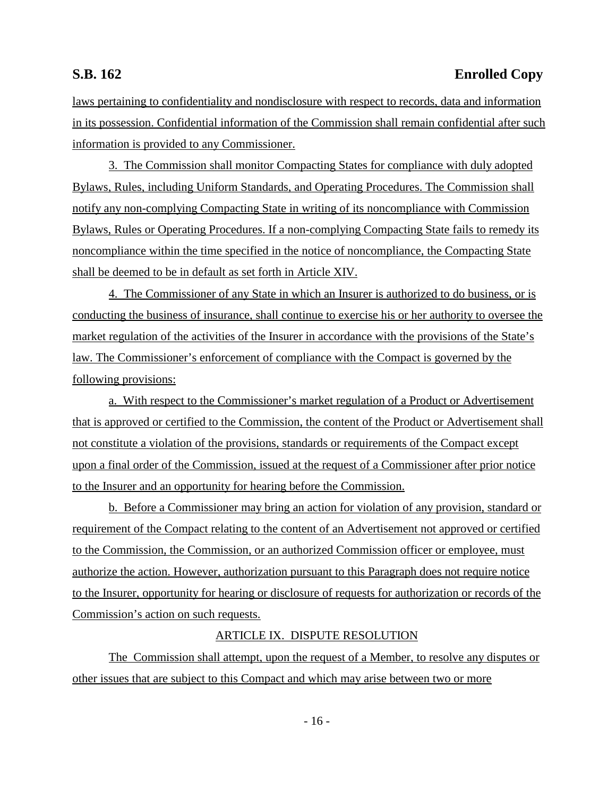# **S.B. 162 Enrolled Copy**

laws pertaining to confidentiality and nondisclosure with respect to records, data and information in its possession. Confidential information of the Commission shall remain confidential after such information is provided to any Commissioner.

3. The Commission shall monitor Compacting States for compliance with duly adopted Bylaws, Rules, including Uniform Standards, and Operating Procedures. The Commission shall notify any non-complying Compacting State in writing of its noncompliance with Commission Bylaws, Rules or Operating Procedures. If a non-complying Compacting State fails to remedy its noncompliance within the time specified in the notice of noncompliance, the Compacting State shall be deemed to be in default as set forth in Article XIV.

4. The Commissioner of any State in which an Insurer is authorized to do business, or is conducting the business of insurance, shall continue to exercise his or her authority to oversee the market regulation of the activities of the Insurer in accordance with the provisions of the State's law. The Commissioner's enforcement of compliance with the Compact is governed by the following provisions:

a. With respect to the Commissioner's market regulation of a Product or Advertisement that is approved or certified to the Commission, the content of the Product or Advertisement shall not constitute a violation of the provisions, standards or requirements of the Compact except upon a final order of the Commission, issued at the request of a Commissioner after prior notice to the Insurer and an opportunity for hearing before the Commission.

b. Before a Commissioner may bring an action for violation of any provision, standard or requirement of the Compact relating to the content of an Advertisement not approved or certified to the Commission, the Commission, or an authorized Commission officer or employee, must authorize the action. However, authorization pursuant to this Paragraph does not require notice to the Insurer, opportunity for hearing or disclosure of requests for authorization or records of the Commission's action on such requests.

#### ARTICLE IX. DISPUTE RESOLUTION

The Commission shall attempt, upon the request of a Member, to resolve any disputes or other issues that are subject to this Compact and which may arise between two or more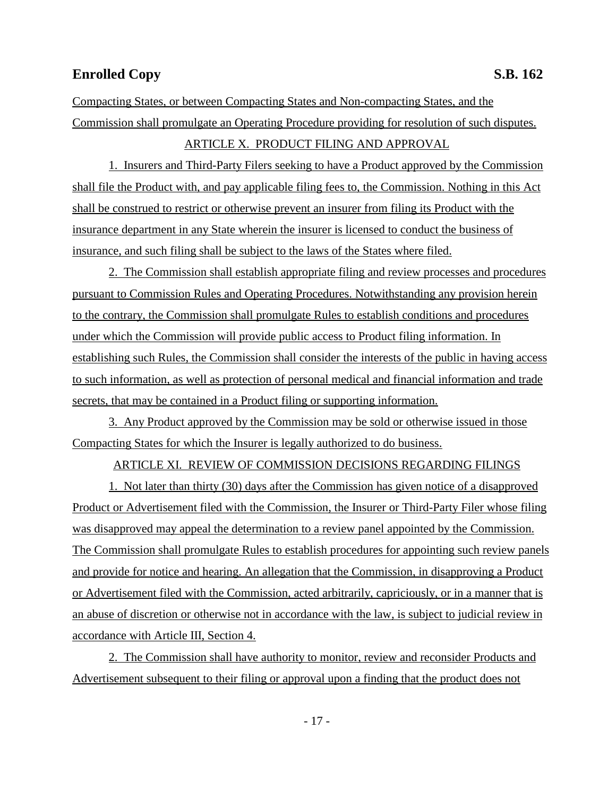Compacting States, or between Compacting States and Non-compacting States, and the Commission shall promulgate an Operating Procedure providing for resolution of such disputes. ARTICLE X. PRODUCT FILING AND APPROVAL

1. Insurers and Third-Party Filers seeking to have a Product approved by the Commission shall file the Product with, and pay applicable filing fees to, the Commission. Nothing in this Act shall be construed to restrict or otherwise prevent an insurer from filing its Product with the insurance department in any State wherein the insurer is licensed to conduct the business of insurance, and such filing shall be subject to the laws of the States where filed.

2. The Commission shall establish appropriate filing and review processes and procedures pursuant to Commission Rules and Operating Procedures. Notwithstanding any provision herein to the contrary, the Commission shall promulgate Rules to establish conditions and procedures under which the Commission will provide public access to Product filing information. In establishing such Rules, the Commission shall consider the interests of the public in having access to such information, as well as protection of personal medical and financial information and trade secrets, that may be contained in a Product filing or supporting information.

3. Any Product approved by the Commission may be sold or otherwise issued in those Compacting States for which the Insurer is legally authorized to do business.

#### ARTICLE XI. REVIEW OF COMMISSION DECISIONS REGARDING FILINGS

1. Not later than thirty (30) days after the Commission has given notice of a disapproved Product or Advertisement filed with the Commission, the Insurer or Third-Party Filer whose filing was disapproved may appeal the determination to a review panel appointed by the Commission. The Commission shall promulgate Rules to establish procedures for appointing such review panels and provide for notice and hearing. An allegation that the Commission, in disapproving a Product or Advertisement filed with the Commission, acted arbitrarily, capriciously, or in a manner that is an abuse of discretion or otherwise not in accordance with the law, is subject to judicial review in accordance with Article III, Section 4.

2. The Commission shall have authority to monitor, review and reconsider Products and Advertisement subsequent to their filing or approval upon a finding that the product does not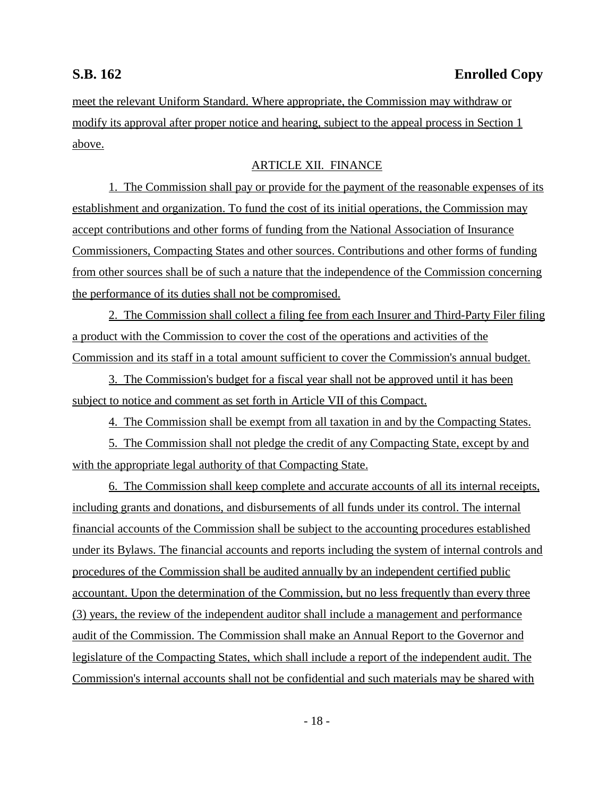meet the relevant Uniform Standard. Where appropriate, the Commission may withdraw or modify its approval after proper notice and hearing, subject to the appeal process in Section 1 above.

### ARTICLE XII. FINANCE

1. The Commission shall pay or provide for the payment of the reasonable expenses of its establishment and organization. To fund the cost of its initial operations, the Commission may accept contributions and other forms of funding from the National Association of Insurance Commissioners, Compacting States and other sources. Contributions and other forms of funding from other sources shall be of such a nature that the independence of the Commission concerning the performance of its duties shall not be compromised.

2. The Commission shall collect a filing fee from each Insurer and Third-Party Filer filing a product with the Commission to cover the cost of the operations and activities of the Commission and its staff in a total amount sufficient to cover the Commission's annual budget.

3. The Commission's budget for a fiscal year shall not be approved until it has been subject to notice and comment as set forth in Article VII of this Compact.

4. The Commission shall be exempt from all taxation in and by the Compacting States.

5. The Commission shall not pledge the credit of any Compacting State, except by and with the appropriate legal authority of that Compacting State.

6. The Commission shall keep complete and accurate accounts of all its internal receipts, including grants and donations, and disbursements of all funds under its control. The internal financial accounts of the Commission shall be subject to the accounting procedures established under its Bylaws. The financial accounts and reports including the system of internal controls and procedures of the Commission shall be audited annually by an independent certified public accountant. Upon the determination of the Commission, but no less frequently than every three (3) years, the review of the independent auditor shall include a management and performance audit of the Commission. The Commission shall make an Annual Report to the Governor and legislature of the Compacting States, which shall include a report of the independent audit. The Commission's internal accounts shall not be confidential and such materials may be shared with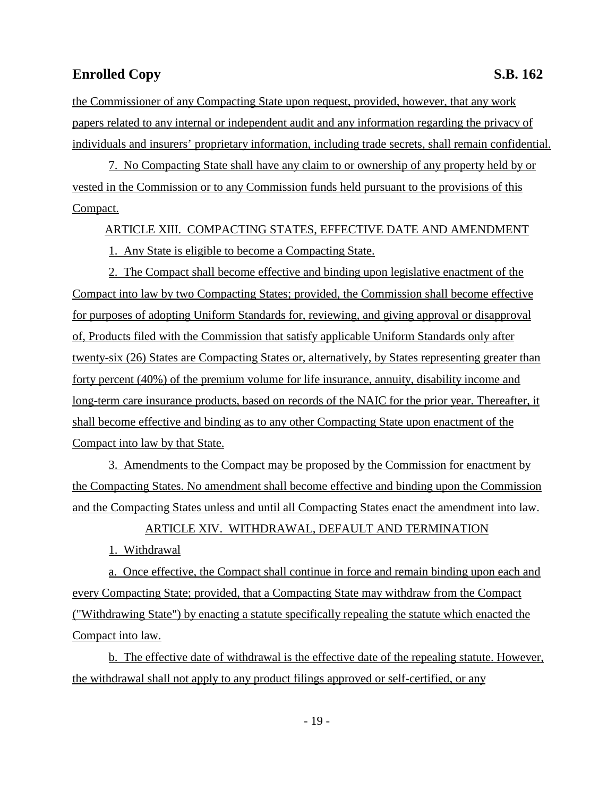the Commissioner of any Compacting State upon request, provided, however, that any work papers related to any internal or independent audit and any information regarding the privacy of individuals and insurers' proprietary information, including trade secrets, shall remain confidential.

7. No Compacting State shall have any claim to or ownership of any property held by or vested in the Commission or to any Commission funds held pursuant to the provisions of this Compact.

ARTICLE XIII. COMPACTING STATES, EFFECTIVE DATE AND AMENDMENT

1. Any State is eligible to become a Compacting State.

2. The Compact shall become effective and binding upon legislative enactment of the Compact into law by two Compacting States; provided, the Commission shall become effective for purposes of adopting Uniform Standards for, reviewing, and giving approval or disapproval of, Products filed with the Commission that satisfy applicable Uniform Standards only after twenty-six (26) States are Compacting States or, alternatively, by States representing greater than forty percent (40%) of the premium volume for life insurance, annuity, disability income and long-term care insurance products, based on records of the NAIC for the prior year. Thereafter, it shall become effective and binding as to any other Compacting State upon enactment of the Compact into law by that State.

3. Amendments to the Compact may be proposed by the Commission for enactment by the Compacting States. No amendment shall become effective and binding upon the Commission and the Compacting States unless and until all Compacting States enact the amendment into law.

ARTICLE XIV. WITHDRAWAL, DEFAULT AND TERMINATION

1. Withdrawal

a. Once effective, the Compact shall continue in force and remain binding upon each and every Compacting State; provided, that a Compacting State may withdraw from the Compact ("Withdrawing State") by enacting a statute specifically repealing the statute which enacted the Compact into law.

b. The effective date of withdrawal is the effective date of the repealing statute. However, the withdrawal shall not apply to any product filings approved or self-certified, or any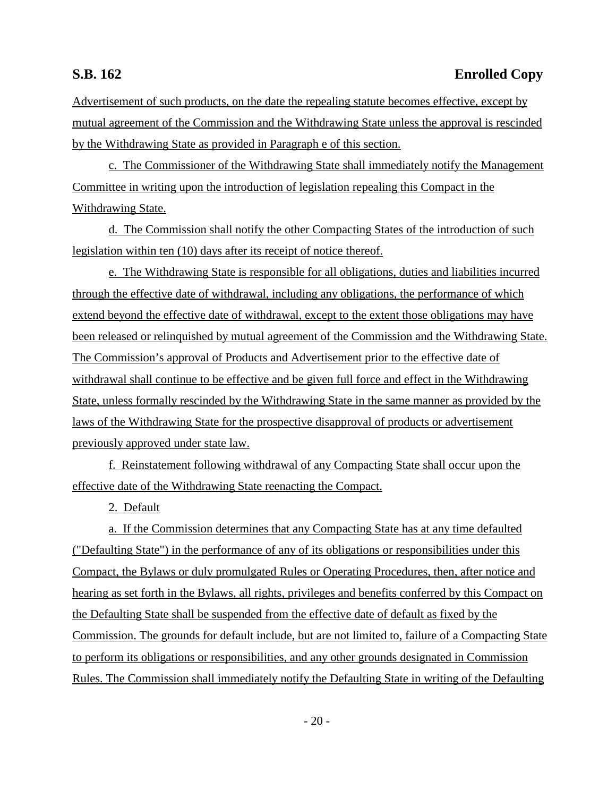Advertisement of such products, on the date the repealing statute becomes effective, except by mutual agreement of the Commission and the Withdrawing State unless the approval is rescinded by the Withdrawing State as provided in Paragraph e of this section.

c. The Commissioner of the Withdrawing State shall immediately notify the Management Committee in writing upon the introduction of legislation repealing this Compact in the Withdrawing State.

d. The Commission shall notify the other Compacting States of the introduction of such legislation within ten (10) days after its receipt of notice thereof.

e. The Withdrawing State is responsible for all obligations, duties and liabilities incurred through the effective date of withdrawal, including any obligations, the performance of which extend beyond the effective date of withdrawal, except to the extent those obligations may have been released or relinquished by mutual agreement of the Commission and the Withdrawing State. The Commission's approval of Products and Advertisement prior to the effective date of withdrawal shall continue to be effective and be given full force and effect in the Withdrawing State, unless formally rescinded by the Withdrawing State in the same manner as provided by the laws of the Withdrawing State for the prospective disapproval of products or advertisement previously approved under state law.

f. Reinstatement following withdrawal of any Compacting State shall occur upon the effective date of the Withdrawing State reenacting the Compact.

2. Default

a. If the Commission determines that any Compacting State has at any time defaulted ("Defaulting State") in the performance of any of its obligations or responsibilities under this Compact, the Bylaws or duly promulgated Rules or Operating Procedures, then, after notice and hearing as set forth in the Bylaws, all rights, privileges and benefits conferred by this Compact on the Defaulting State shall be suspended from the effective date of default as fixed by the Commission. The grounds for default include, but are not limited to, failure of a Compacting State to perform its obligations or responsibilities, and any other grounds designated in Commission Rules. The Commission shall immediately notify the Defaulting State in writing of the Defaulting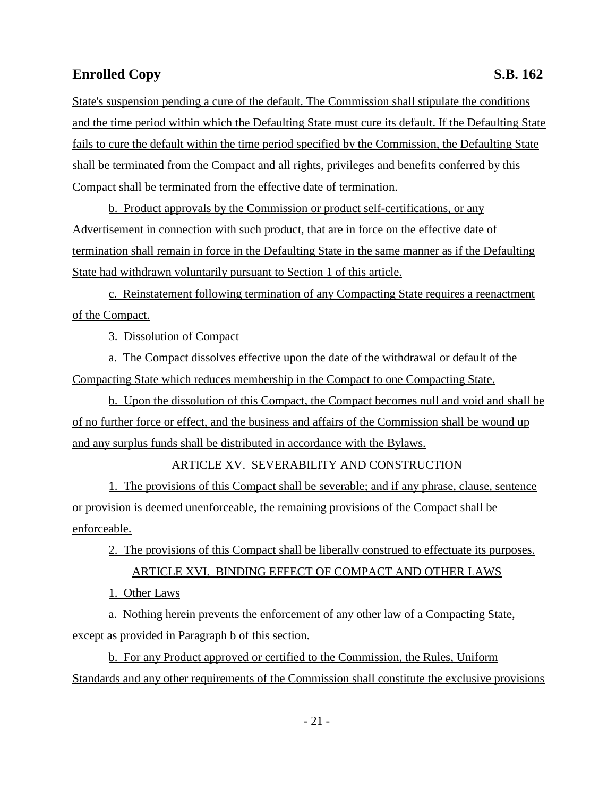State's suspension pending a cure of the default. The Commission shall stipulate the conditions and the time period within which the Defaulting State must cure its default. If the Defaulting State fails to cure the default within the time period specified by the Commission, the Defaulting State shall be terminated from the Compact and all rights, privileges and benefits conferred by this Compact shall be terminated from the effective date of termination.

b. Product approvals by the Commission or product self-certifications, or any Advertisement in connection with such product, that are in force on the effective date of termination shall remain in force in the Defaulting State in the same manner as if the Defaulting State had withdrawn voluntarily pursuant to Section 1 of this article.

c. Reinstatement following termination of any Compacting State requires a reenactment of the Compact.

3. Dissolution of Compact

a. The Compact dissolves effective upon the date of the withdrawal or default of the Compacting State which reduces membership in the Compact to one Compacting State.

b. Upon the dissolution of this Compact, the Compact becomes null and void and shall be of no further force or effect, and the business and affairs of the Commission shall be wound up and any surplus funds shall be distributed in accordance with the Bylaws.

### ARTICLE XV. SEVERABILITY AND CONSTRUCTION

1. The provisions of this Compact shall be severable; and if any phrase, clause, sentence or provision is deemed unenforceable, the remaining provisions of the Compact shall be enforceable.

2. The provisions of this Compact shall be liberally construed to effectuate its purposes.

ARTICLE XVI. BINDING EFFECT OF COMPACT AND OTHER LAWS

1. Other Laws

a. Nothing herein prevents the enforcement of any other law of a Compacting State, except as provided in Paragraph b of this section.

b. For any Product approved or certified to the Commission, the Rules, Uniform Standards and any other requirements of the Commission shall constitute the exclusive provisions